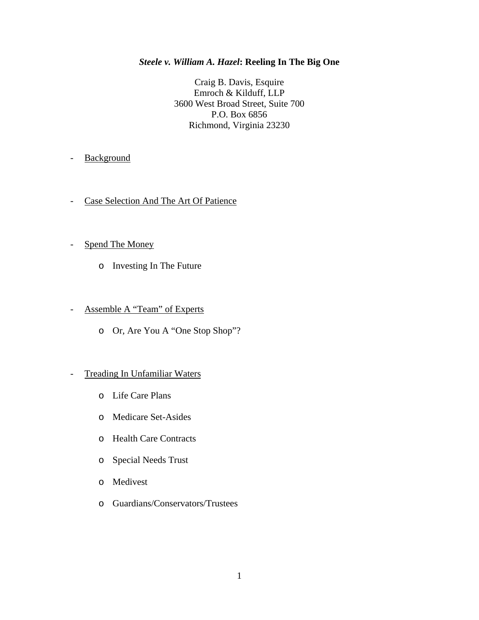#### *Steele v. William A. Hazel***: Reeling In The Big One**

Craig B. Davis, Esquire Emroch & Kilduff, LLP 3600 West Broad Street, Suite 700 P.O. Box 6856 Richmond, Virginia 23230

# - Background

- Case Selection And The Art Of Patience

# - Spend The Money

o Investing In The Future

# - Assemble A "Team" of Experts

o Or, Are You A "One Stop Shop"?

#### - Treading In Unfamiliar Waters

- o Life Care Plans
- o Medicare Set-Asides
- o Health Care Contracts
- o Special Needs Trust
- o Medivest
- o Guardians/Conservators/Trustees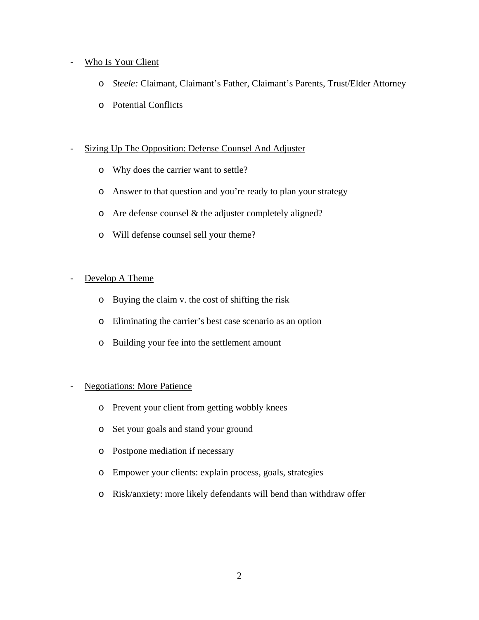### - Who Is Your Client

- o *Steele:* Claimant, Claimant's Father, Claimant's Parents, Trust/Elder Attorney
- o Potential Conflicts

### - Sizing Up The Opposition: Defense Counsel And Adjuster

- o Why does the carrier want to settle?
- o Answer to that question and you're ready to plan your strategy
- o Are defense counsel & the adjuster completely aligned?
- o Will defense counsel sell your theme?

#### - Develop A Theme

- o Buying the claim v. the cost of shifting the risk
- o Eliminating the carrier's best case scenario as an option
- o Building your fee into the settlement amount

#### Negotiations: More Patience

- o Prevent your client from getting wobbly knees
- o Set your goals and stand your ground
- o Postpone mediation if necessary
- o Empower your clients: explain process, goals, strategies
- o Risk/anxiety: more likely defendants will bend than withdraw offer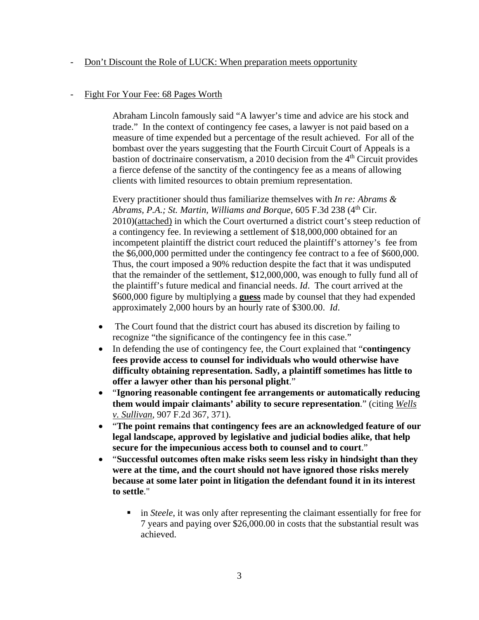# - Don't Discount the Role of LUCK: When preparation meets opportunity

# Fight For Your Fee: 68 Pages Worth

Abraham Lincoln famously said "A lawyer's time and advice are his stock and trade." In the context of contingency fee cases, a lawyer is not paid based on a measure of time expended but a percentage of the result achieved. For all of the bombast over the years suggesting that the Fourth Circuit Court of Appeals is a bastion of doctrinaire conservatism, a  $2010$  decision from the  $4<sup>th</sup>$  Circuit provides a fierce defense of the sanctity of the contingency fee as a means of allowing clients with limited resources to obtain premium representation.

Every practitioner should thus familiarize themselves with *In re: Abrams & Abrams, P.A.; St. Martin, Williams and Borque, 605 F.3d 238 (4<sup>th</sup> Cir.)* 2010)(attached) in which the Court overturned a district court's steep reduction of a contingency fee. In reviewing a settlement of \$18,000,000 obtained for an incompetent plaintiff the district court reduced the plaintiff's attorney's fee from the \$6,000,000 permitted under the contingency fee contract to a fee of \$600,000. Thus, the court imposed a 90% reduction despite the fact that it was undisputed that the remainder of the settlement, \$12,000,000, was enough to fully fund all of the plaintiff's future medical and financial needs. *Id*. The court arrived at the \$600,000 figure by multiplying a **guess** made by counsel that they had expended approximately 2,000 hours by an hourly rate of \$300.00. *Id*.

- The Court found that the district court has abused its discretion by failing to recognize "the significance of the contingency fee in this case."
- In defending the use of contingency fee, the Court explained that "**contingency fees provide access to counsel for individuals who would otherwise have difficulty obtaining representation. Sadly, a plaintiff sometimes has little to offer a lawyer other than his personal plight**."
- "**Ignoring reasonable contingent fee arrangements or automatically reducing them would impair claimants' ability to secure representation**." (citing *Wells v. Sullivan*, 907 F.2d 367, 371).
- "**The point remains that contingency fees are an acknowledged feature of our legal landscape, approved by legislative and judicial bodies alike, that help secure for the impecunious access both to counsel and to court**."
- "**Successful outcomes often make risks seem less risky in hindsight than they were at the time, and the court should not have ignored those risks merely because at some later point in litigation the defendant found it in its interest to settle**."
	- in *Steele*, it was only after representing the claimant essentially for free for 7 years and paying over \$26,000.00 in costs that the substantial result was achieved.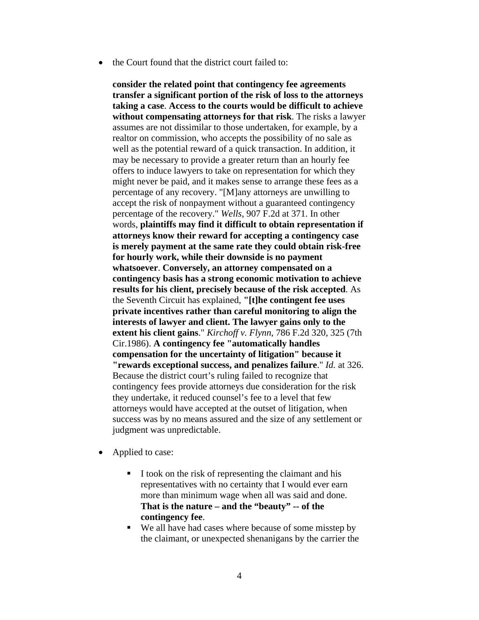• the Court found that the district court failed to:

**consider the related point that contingency fee agreements transfer a significant portion of the risk of loss to the attorneys taking a case**. **Access to the courts would be difficult to achieve without compensating attorneys for that risk**. The risks a lawyer assumes are not dissimilar to those undertaken, for example, by a realtor on commission, who accepts the possibility of no sale as well as the potential reward of a quick transaction. In addition, it may be necessary to provide a greater return than an hourly fee offers to induce lawyers to take on representation for which they might never be paid, and it makes sense to arrange these fees as a percentage of any recovery. "[M]any attorneys are unwilling to accept the risk of nonpayment without a guaranteed contingency percentage of the recovery." *Wells*, 907 F.2d at 371. In other words, **plaintiffs may find it difficult to obtain representation if attorneys know their reward for accepting a contingency case is merely payment at the same rate they could obtain risk-free for hourly work, while their downside is no payment whatsoever**. **Conversely, an attorney compensated on a contingency basis has a strong economic motivation to achieve results for his client, precisely because of the risk accepted**. As the Seventh Circuit has explained, **"[t]he contingent fee uses private incentives rather than careful monitoring to align the interests of lawyer and client. The lawyer gains only to the extent his client gains**." *Kirchoff v. Flynn*, 786 F.2d 320, 325 (7th Cir.1986). **A contingency fee "automatically handles compensation for the uncertainty of litigation" because it "rewards exceptional success, and penalizes failure**." *Id.* at 326. Because the district court's ruling failed to recognize that contingency fees provide attorneys due consideration for the risk they undertake, it reduced counsel's fee to a level that few attorneys would have accepted at the outset of litigation, when success was by no means assured and the size of any settlement or judgment was unpredictable.

- Applied to case:
	- I took on the risk of representing the claimant and his representatives with no certainty that I would ever earn more than minimum wage when all was said and done. **That is the nature – and the "beauty" -- of the contingency fee**.
	- We all have had cases where because of some misstep by the claimant, or unexpected shenanigans by the carrier the